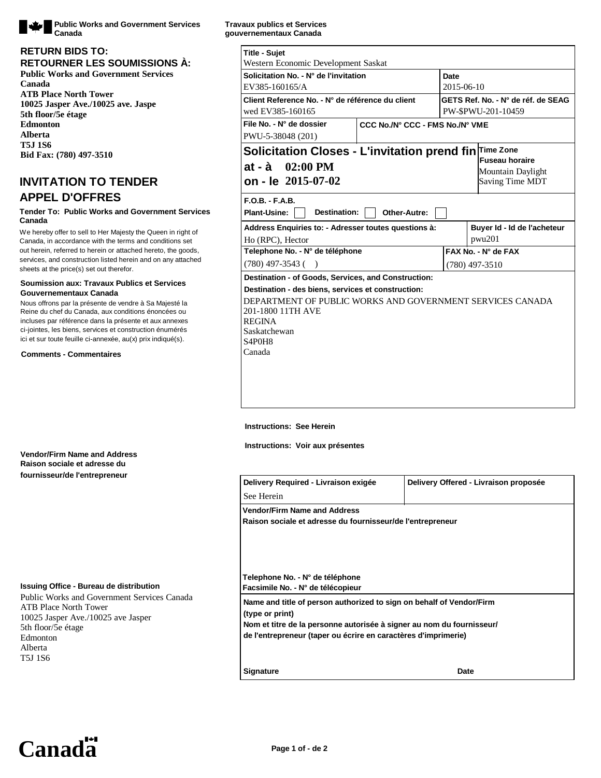

#### **RETURN BIDS TO: RETOURNER LES SOUMISSIONS À: Public Works and Government Services**

**Canada ATB Place North Tower 10025 Jasper Ave./10025 ave. Jaspe 5th floor/5e étage Edmonton Alberta T5J 1S6 Bid Fax: (780) 497-3510**

# **INVITATION TO TENDER APPEL D'OFFRES**

#### **Tender To: Public Works and Government Services Canada**

We hereby offer to sell to Her Majesty the Queen in right of Canada, in accordance with the terms and conditions set out herein, referred to herein or attached hereto, the goods, services, and construction listed herein and on any attached sheets at the price(s) set out therefor.

#### **Soumission aux: Travaux Publics et Services Gouvernementaux Canada**

Nous offrons par la présente de vendre à Sa Majesté la Reine du chef du Canada, aux conditions énoncées ou incluses par référence dans la présente et aux annexes ci-jointes, les biens, services et construction énumérés ici et sur toute feuille ci-annexée, au(x) prix indiqué(s).

#### **Comments - Commentaires**

## **Vendor/Firm Name and Address Raison sociale et adresse du fournisseur/de l'entrepreneur**

#### **Issuing Office - Bureau de distribution**

Public Works and Government Services Canada ATB Place North Tower 10025 Jasper Ave./10025 ave Jasper 5th floor/5e étage Edmonton Alberta T5J 1S6

**Travaux publics et Services gouvernementaux Canada**

| <b>Title - Sujet</b><br>Western Economic Development Saskat                                                                                                               |  |                  |                                                          |  |  |  |
|---------------------------------------------------------------------------------------------------------------------------------------------------------------------------|--|------------------|----------------------------------------------------------|--|--|--|
| Solicitation No. - N° de l'invitation<br>EV385-160165/A                                                                                                                   |  |                  | <b>Date</b><br>2015-06-10                                |  |  |  |
| Client Reference No. - N° de référence du client<br>wed EV385-160165                                                                                                      |  |                  | GETS Ref. No. - N° de réf. de SEAG<br>PW-\$PWU-201-10459 |  |  |  |
| File No. - N° de dossier<br>CCC No./N° CCC - FMS No./N° VME<br>PWU-5-38048 (201)                                                                                          |  |                  |                                                          |  |  |  |
| Solicitation Closes - L'invitation prend fin Time Zone<br><b>Fuseau horaire</b><br>$02:00$ PM<br>at - à<br>Mountain Daylight<br>on - le 2015-07-02<br>Saving Time MDT     |  |                  |                                                          |  |  |  |
| $F.O.B.-F.A.B.$<br>Destination:<br><b>Plant-Usine:</b><br>Other-Autre:                                                                                                    |  |                  |                                                          |  |  |  |
| Address Enquiries to: - Adresser toutes questions à:                                                                                                                      |  |                  | Buyer Id - Id de l'acheteur                              |  |  |  |
| Ho (RPC), Hector                                                                                                                                                          |  |                  | pwu201                                                   |  |  |  |
| Telephone No. - N° de téléphone                                                                                                                                           |  |                  | FAX No. - N° de FAX                                      |  |  |  |
| $(780)$ 497-3543 ()                                                                                                                                                       |  | $(780)$ 497-3510 |                                                          |  |  |  |
| Destination - of Goods, Services, and Construction:                                                                                                                       |  |                  |                                                          |  |  |  |
| Destination - des biens, services et construction:                                                                                                                        |  |                  |                                                          |  |  |  |
| DEPARTMENT OF PUBLIC WORKS AND GOVERNMENT SERVICES CANADA<br>201-1800 11TH AVE<br><b>REGINA</b><br>Saskatchewan<br>S <sub>4</sub> P <sub>0</sub> H <sub>8</sub><br>Canada |  |                  |                                                          |  |  |  |

#### **Instructions: See Herein**

**Instructions: Voir aux présentes**

| Delivery Required - Livraison exigée                                  | Delivery Offered - Livraison proposée |  |  |  |  |
|-----------------------------------------------------------------------|---------------------------------------|--|--|--|--|
| See Herein                                                            |                                       |  |  |  |  |
| <b>Vendor/Firm Name and Address</b>                                   |                                       |  |  |  |  |
| Raison sociale et adresse du fournisseur/de l'entrepreneur            |                                       |  |  |  |  |
|                                                                       |                                       |  |  |  |  |
|                                                                       |                                       |  |  |  |  |
|                                                                       |                                       |  |  |  |  |
| Telephone No. - N° de téléphone                                       |                                       |  |  |  |  |
| Facsimile No. - N° de télécopieur                                     |                                       |  |  |  |  |
| Name and title of person authorized to sign on behalf of Vendor/Firm  |                                       |  |  |  |  |
| (type or print)                                                       |                                       |  |  |  |  |
| Nom et titre de la personne autorisée à signer au nom du fournisseur/ |                                       |  |  |  |  |
| de l'entrepreneur (taper ou écrire en caractères d'imprimerie)        |                                       |  |  |  |  |
|                                                                       |                                       |  |  |  |  |
| <b>Signature</b>                                                      | Date                                  |  |  |  |  |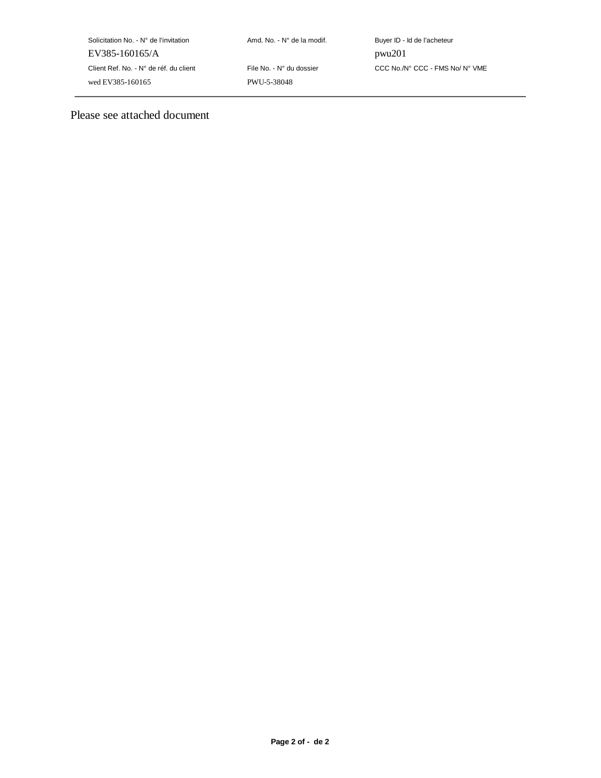| Solicitation No. - N° de l'invitation  |
|----------------------------------------|
| EV385-160165/A                         |
| Client Ref. No. - N° de réf. du client |
| wed EV385-160165                       |

PWU-5-38048

Amd. No. - N° de la modif. Buyer ID - Id de l'acheteur pwu201 File No. - N° du dossier CCC No./N° CCC - FMS No/ N° VME

Please see attached document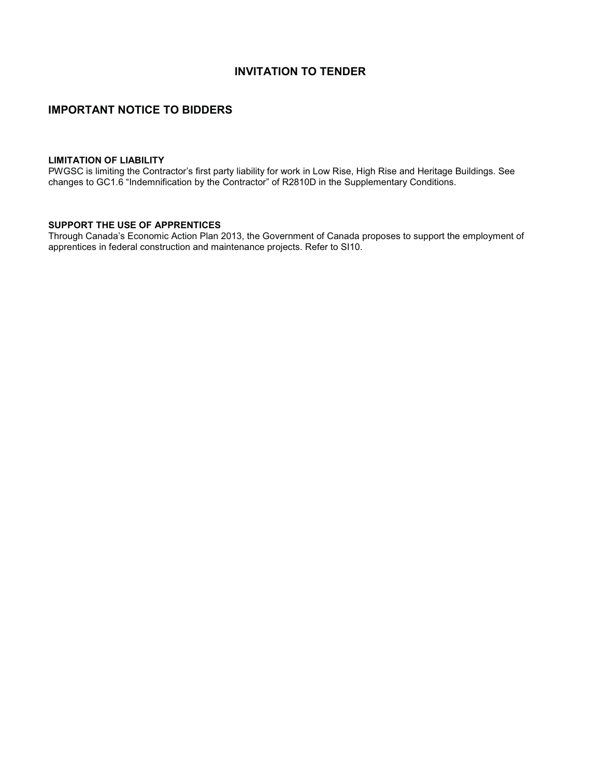## **INVITATION TO TENDER**

## **IMPORTANT NOTICE TO BIDDERS**

## **LIMITATION OF LIABILITY**

PWGSC is limiting the Contractor's first party liability for work in Low Rise, High Rise and Heritage Buildings. See changes to GC1.6 "Indemnification by the Contractor" of R2810D in the Supplementary Conditions.

## **SUPPORT THE USE OF APPRENTICES**

Through Canada's Economic Action Plan 2013, the Government of Canada proposes to support the employment of apprentices in federal construction and maintenance projects. Refer to SI10.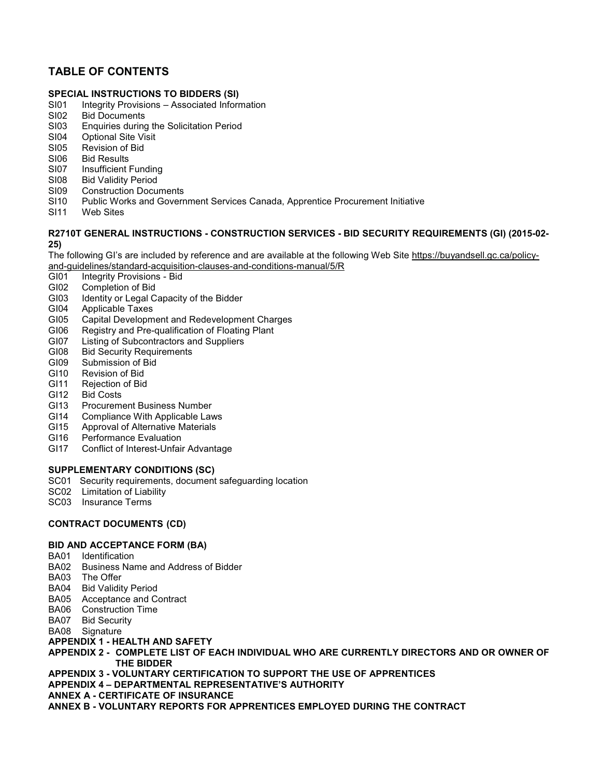# **TABLE OF CONTENTS**

## **SPECIAL INSTRUCTIONS TO BIDDERS (SI)**

- SI01 Integrity Provisions Associated Information<br>SI02 Bid Documents
- SI02 Bid Documents<br>SI03 Enquiries during
- Enquiries during the Solicitation Period
- SI04 Optional Site Visit
- SI05 Revision of Bid
- SI06 Bid Results
- SI07 Insufficient Funding<br>SI08 Bid Validity Period
- **Bid Validity Period**
- SI09 Construction Documents
- SI10 Public Works and Government Services Canada, Apprentice Procurement Initiative
- SI11 Web Sites

### **R2710T GENERAL INSTRUCTIONS - CONSTRUCTION SERVICES - BID SECURITY REQUIREMENTS (GI) (2015-02- 25)**

The following GI's are included by reference and are available at the following Web Site https://buyandsell.gc.ca/policyand-guidelines/standard-acquisition-clauses-and-conditions-manual/5/R

- GI01 Integrity Provisions Bid
- GI02 Completion of Bid
- GI03 Identity or Legal Capacity of the Bidder<br>GI04 Applicable Taxes
- Applicable Taxes
- GI05 Capital Development and Redevelopment Charges<br>GI06 Registry and Pre-gualification of Floating Plant
- Registry and Pre-qualification of Floating Plant
- GI07 Listing of Subcontractors and Suppliers
- GI08 Bid Security Requirements
- GI09 Submission of Bid
- GI10 Revision of Bid<br>GI11 Rejection of Bio
- Rejection of Bid
- GI12 Bid Costs<br>GI13 Procurem
- **Procurement Business Number**
- GI14 Compliance With Applicable Laws
- GI15 Approval of Alternative Materials
- GI16 Performance Evaluation
- GI17 Conflict of Interest-Unfair Advantage

## **SUPPLEMENTARY CONDITIONS (SC)**

- SC01 Security requirements, document safeguarding location
- SC02 Limitation of Liability
- SC03 Insurance Terms

## **CONTRACT DOCUMENTS (CD)**

## **BID AND ACCEPTANCE FORM (BA)**

- BA01 Identification
- BA02 Business Name and Address of Bidder
- BA03 The Offer
- BA04 Bid Validity Period
- BA05 Acceptance and Contract
- BA06 Construction Time
- BA07 Bid Security
- BA08 Signature

## **APPENDIX 1 - HEALTH AND SAFETY**

- **APPENDIX 2 COMPLETE LIST OF EACH INDIVIDUAL WHO ARE CURRENTLY DIRECTORS AND OR OWNER OF THE BIDDER**
- **APPENDIX 3 VOLUNTARY CERTIFICATION TO SUPPORT THE USE OF APPRENTICES**
- **APPENDIX 4 DEPARTMENTAL REPRESENTATIVE'S AUTHORITY**
- **ANNEX A CERTIFICATE OF INSURANCE**
- **ANNEX B VOLUNTARY REPORTS FOR APPRENTICES EMPLOYED DURING THE CONTRACT**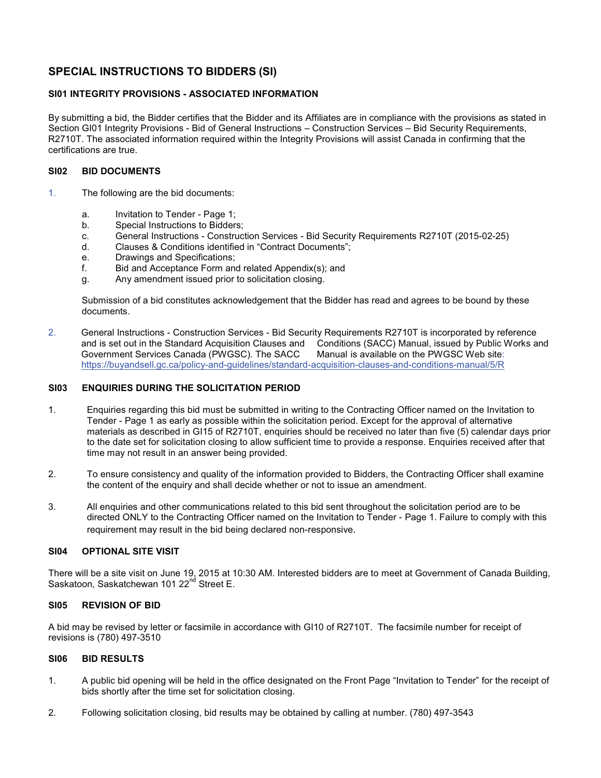# **SPECIAL INSTRUCTIONS TO BIDDERS (SI)**

## **SI01 INTEGRITY PROVISIONS - ASSOCIATED INFORMATION**

By submitting a bid, the Bidder certifies that the Bidder and its Affiliates are in compliance with the provisions as stated in Section GI01 Integrity Provisions - Bid of General Instructions – Construction Services – Bid Security Requirements, R2710T. The associated information required within the Integrity Provisions will assist Canada in confirming that the certifications are true.

### **SI02 BID DOCUMENTS**

- 1. The following are the bid documents:
	- a. Invitation to Tender Page 1;
	- b. Special Instructions to Bidders;
	- c. General Instructions Construction Services Bid Security Requirements R2710T (2015-02-25)
	- d. Clauses & Conditions identified in "Contract Documents";
	- e. Drawings and Specifications;
	- f. Bid and Acceptance Form and related Appendix(s); and
	- g. Any amendment issued prior to solicitation closing.

Submission of a bid constitutes acknowledgement that the Bidder has read and agrees to be bound by these documents.

2. General Instructions - Construction Services - Bid Security Requirements R2710T is incorporated by reference and is set out in the Standard Acquisition Clauses and Conditions (SACC) Manual, issued by Public Works and Government Services Canada (PWGSC). The SACC Manual is available on the PWGSC Web site: Government Services Canada (PWGSC). The SACC https://buyandsell.gc.ca/policy-and-guidelines/standard-acquisition-clauses-and-conditions-manual/5/R

### **SI03 ENQUIRIES DURING THE SOLICITATION PERIOD**

- 1. Enquiries regarding this bid must be submitted in writing to the Contracting Officer named on the Invitation to Tender - Page 1 as early as possible within the solicitation period. Except for the approval of alternative materials as described in GI15 of R2710T, enquiries should be received no later than five (5) calendar days prior to the date set for solicitation closing to allow sufficient time to provide a response. Enquiries received after that time may not result in an answer being provided.
- 2. To ensure consistency and quality of the information provided to Bidders, the Contracting Officer shall examine the content of the enquiry and shall decide whether or not to issue an amendment.
- 3. All enquiries and other communications related to this bid sent throughout the solicitation period are to be directed ONLY to the Contracting Officer named on the Invitation to Tender - Page 1. Failure to comply with this requirement may result in the bid being declared non-responsive.

#### **SI04 OPTIONAL SITE VISIT**

There will be a site visit on June 19, 2015 at 10:30 AM. Interested bidders are to meet at Government of Canada Building, Saskatoon, Saskatchewan 101 22<sup>nd</sup> Street E.

## **SI05 REVISION OF BID**

A bid may be revised by letter or facsimile in accordance with GI10 of R2710T. The facsimile number for receipt of revisions is (780) 497-3510

### **SI06 BID RESULTS**

- 1. A public bid opening will be held in the office designated on the Front Page "Invitation to Tender" for the receipt of bids shortly after the time set for solicitation closing.
- 2. Following solicitation closing, bid results may be obtained by calling at number. (780) 497-3543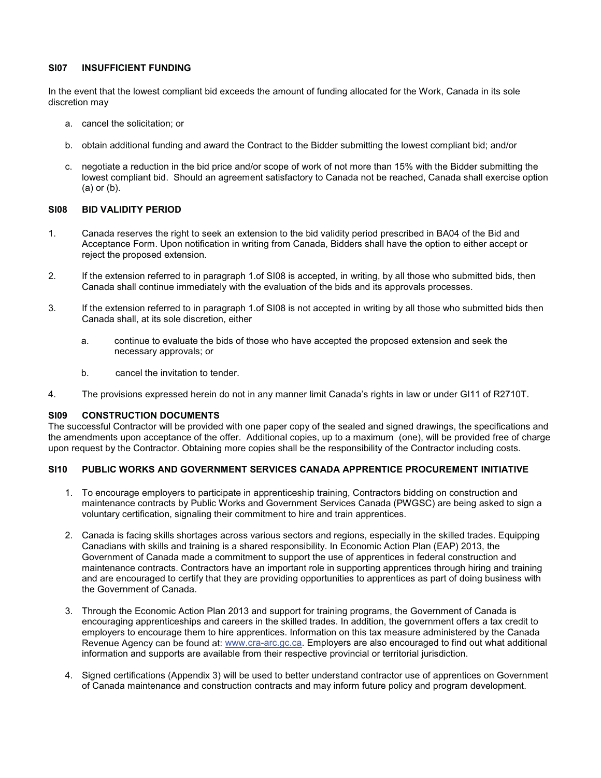## **SI07 INSUFFICIENT FUNDING**

In the event that the lowest compliant bid exceeds the amount of funding allocated for the Work, Canada in its sole discretion may

- a. cancel the solicitation; or
- b. obtain additional funding and award the Contract to the Bidder submitting the lowest compliant bid; and/or
- c. negotiate a reduction in the bid price and/or scope of work of not more than 15% with the Bidder submitting the lowest compliant bid. Should an agreement satisfactory to Canada not be reached, Canada shall exercise option (a) or (b).

### **SI08 BID VALIDITY PERIOD**

- 1. Canada reserves the right to seek an extension to the bid validity period prescribed in BA04 of the Bid and Acceptance Form. Upon notification in writing from Canada, Bidders shall have the option to either accept or reject the proposed extension.
- 2. If the extension referred to in paragraph 1.of SI08 is accepted, in writing, by all those who submitted bids, then Canada shall continue immediately with the evaluation of the bids and its approvals processes.
- 3. If the extension referred to in paragraph 1.of SI08 is not accepted in writing by all those who submitted bids then Canada shall, at its sole discretion, either
	- a. continue to evaluate the bids of those who have accepted the proposed extension and seek the necessary approvals; or
	- b. cancel the invitation to tender.
- 4. The provisions expressed herein do not in any manner limit Canada's rights in law or under GI11 of R2710T.

## **SI09 CONSTRUCTION DOCUMENTS**

The successful Contractor will be provided with one paper copy of the sealed and signed drawings, the specifications and the amendments upon acceptance of the offer. Additional copies, up to a maximum (one), will be provided free of charge upon request by the Contractor. Obtaining more copies shall be the responsibility of the Contractor including costs.

## **SI10 PUBLIC WORKS AND GOVERNMENT SERVICES CANADA APPRENTICE PROCUREMENT INITIATIVE**

- 1. To encourage employers to participate in apprenticeship training, Contractors bidding on construction and maintenance contracts by Public Works and Government Services Canada (PWGSC) are being asked to sign a voluntary certification, signaling their commitment to hire and train apprentices.
- 2. Canada is facing skills shortages across various sectors and regions, especially in the skilled trades. Equipping Canadians with skills and training is a shared responsibility. In Economic Action Plan (EAP) 2013, the Government of Canada made a commitment to support the use of apprentices in federal construction and maintenance contracts. Contractors have an important role in supporting apprentices through hiring and training and are encouraged to certify that they are providing opportunities to apprentices as part of doing business with the Government of Canada.
- 3. Through the Economic Action Plan 2013 and support for training programs, the Government of Canada is encouraging apprenticeships and careers in the skilled trades. In addition, the government offers a tax credit to employers to encourage them to hire apprentices. Information on this tax measure administered by the Canada Revenue Agency can be found at: www.cra-arc.gc.ca. Employers are also encouraged to find out what additional information and supports are available from their respective provincial or territorial jurisdiction.
- 4. Signed certifications (Appendix 3) will be used to better understand contractor use of apprentices on Government of Canada maintenance and construction contracts and may inform future policy and program development.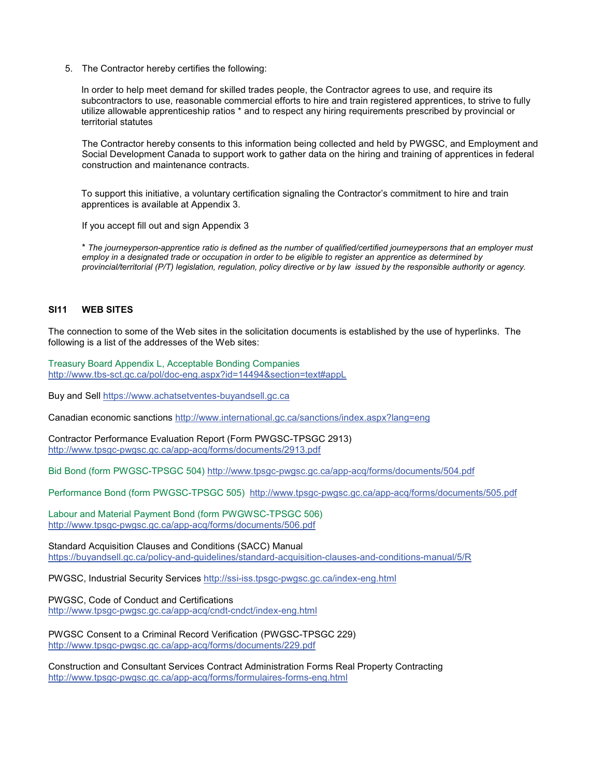5. The Contractor hereby certifies the following:

In order to help meet demand for skilled trades people, the Contractor agrees to use, and require its subcontractors to use, reasonable commercial efforts to hire and train registered apprentices, to strive to fully utilize allowable apprenticeship ratios \* and to respect any hiring requirements prescribed by provincial or territorial statutes

The Contractor hereby consents to this information being collected and held by PWGSC, and Employment and Social Development Canada to support work to gather data on the hiring and training of apprentices in federal construction and maintenance contracts.

To support this initiative, a voluntary certification signaling the Contractor's commitment to hire and train apprentices is available at Appendix 3.

If you accept fill out and sign Appendix 3

\* *The journeyperson-apprentice ratio is defined as the number of qualified/certified journeypersons that an employer must employ in a designated trade or occupation in order to be eligible to register an apprentice as determined by provincial/territorial (P/T) legislation, regulation, policy directive or by law issued by the responsible authority or agency.* 

### **SI11 WEB SITES**

The connection to some of the Web sites in the solicitation documents is established by the use of hyperlinks. The following is a list of the addresses of the Web sites:

Treasury Board Appendix L, Acceptable Bonding Companies http://www.tbs-sct.gc.ca/pol/doc-eng.aspx?id=14494&section=text#appL

Buy and Sell https://www.achatsetventes-buyandsell.gc.ca

Canadian economic sanctions http://www.international.gc.ca/sanctions/index.aspx?lang=eng

Contractor Performance Evaluation Report (Form PWGSC-TPSGC 2913) http://www.tpsgc-pwgsc.gc.ca/app-acq/forms/documents/2913.pdf

Bid Bond (form PWGSC-TPSGC 504) http://www.tpsgc-pwgsc.gc.ca/app-acq/forms/documents/504.pdf

Performance Bond (form PWGSC-TPSGC 505) http://www.tpsgc-pwgsc.gc.ca/app-acq/forms/documents/505.pdf

Labour and Material Payment Bond (form PWGWSC-TPSGC 506) http://www.tpsgc-pwgsc.gc.ca/app-acq/forms/documents/506.pdf

Standard Acquisition Clauses and Conditions (SACC) Manual https://buyandsell.gc.ca/policy-and-guidelines/standard-acquisition-clauses-and-conditions-manual/5/R

PWGSC, Industrial Security Services http://ssi-iss.tpsgc-pwgsc.gc.ca/index-eng.html

PWGSC, Code of Conduct and Certifications http://www.tpsgc-pwgsc.gc.ca/app-acq/cndt-cndct/index-eng.html

PWGSC Consent to a Criminal Record Verification (PWGSC-TPSGC 229) http://www.tpsgc-pwgsc.gc.ca/app-acq/forms/documents/229.pdf

Construction and Consultant Services Contract Administration Forms Real Property Contracting http://www.tpsgc-pwgsc.gc.ca/app-acq/forms/formulaires-forms-eng.html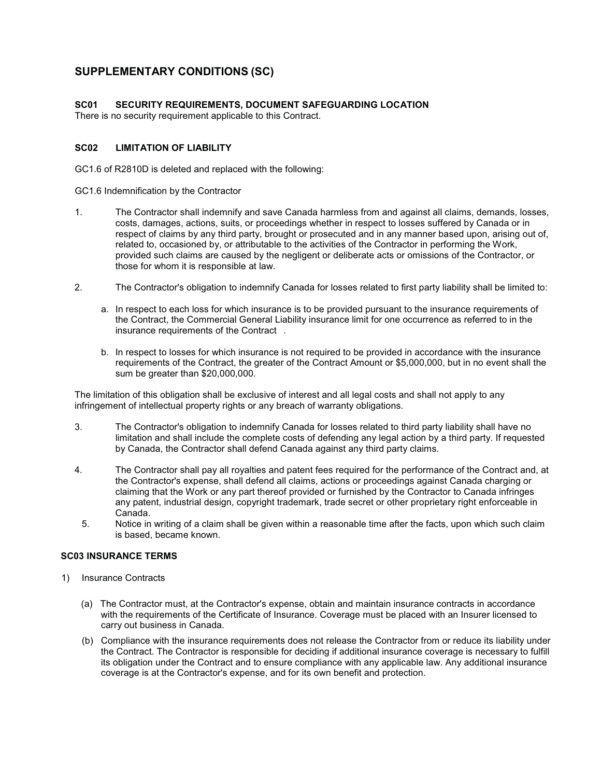# **SUPPLEMENTARY CONDITIONS (SC)**

### **SC01 SECURITY REQUIREMENTS, DOCUMENT SAFEGUARDING LOCATION**

There is no security requirement applicable to this Contract.

## **SC02 LIMITATION OF LIABILITY**

GC1.6 of R2810D is deleted and replaced with the following:

GC1.6 Indemnification by the Contractor

- 1. The Contractor shall indemnify and save Canada harmless from and against all claims, demands, losses, costs, damages, actions, suits, or proceedings whether in respect to losses suffered by Canada or in respect of claims by any third party, brought or prosecuted and in any manner based upon, arising out of, related to, occasioned by, or attributable to the activities of the Contractor in performing the Work, provided such claims are caused by the negligent or deliberate acts or omissions of the Contractor, or those for whom it is responsible at law.
- 2. The Contractor's obligation to indemnify Canada for losses related to first party liability shall be limited to:
	- a. In respect to each loss for which insurance is to be provided pursuant to the insurance requirements of the Contract, the Commercial General Liability insurance limit for one occurrence as referred to in the insurance requirements of the Contract .
	- b. In respect to losses for which insurance is not required to be provided in accordance with the insurance requirements of the Contract, the greater of the Contract Amount or \$5,000,000, but in no event shall the sum be greater than \$20,000,000.

The limitation of this obligation shall be exclusive of interest and all legal costs and shall not apply to any infringement of intellectual property rights or any breach of warranty obligations.

- 3. The Contractor's obligation to indemnify Canada for losses related to third party liability shall have no limitation and shall include the complete costs of defending any legal action by a third party. If requested by Canada, the Contractor shall defend Canada against any third party claims.
- 4. The Contractor shall pay all royalties and patent fees required for the performance of the Contract and, at the Contractor's expense, shall defend all claims, actions or proceedings against Canada charging or claiming that the Work or any part thereof provided or furnished by the Contractor to Canada infringes any patent, industrial design, copyright trademark, trade secret or other proprietary right enforceable in Canada.
	- 5. Notice in writing of a claim shall be given within a reasonable time after the facts, upon which such claim is based, became known.

## **SC03 INSURANCE TERMS**

- 1) Insurance Contracts
	- (a) The Contractor must, at the Contractor's expense, obtain and maintain insurance contracts in accordance with the requirements of the Certificate of Insurance. Coverage must be placed with an Insurer licensed to carry out business in Canada.
	- (b) Compliance with the insurance requirements does not release the Contractor from or reduce its liability under the Contract. The Contractor is responsible for deciding if additional insurance coverage is necessary to fulfill its obligation under the Contract and to ensure compliance with any applicable law. Any additional insurance coverage is at the Contractor's expense, and for its own benefit and protection.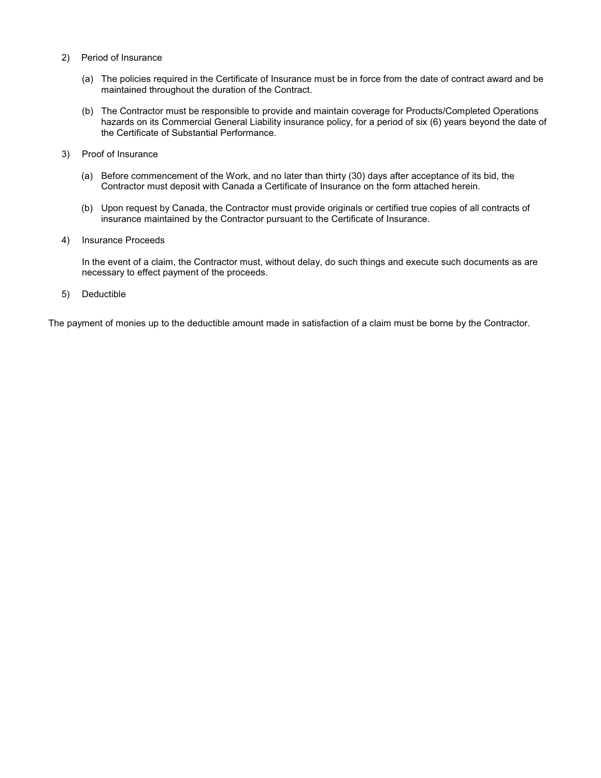- 2) Period of Insurance
	- (a) The policies required in the Certificate of Insurance must be in force from the date of contract award and be maintained throughout the duration of the Contract.
	- (b) The Contractor must be responsible to provide and maintain coverage for Products/Completed Operations hazards on its Commercial General Liability insurance policy, for a period of six (6) years beyond the date of the Certificate of Substantial Performance.
- 3) Proof of Insurance
	- (a) Before commencement of the Work, and no later than thirty (30) days after acceptance of its bid, the Contractor must deposit with Canada a Certificate of Insurance on the form attached herein.
	- (b) Upon request by Canada, the Contractor must provide originals or certified true copies of all contracts of insurance maintained by the Contractor pursuant to the Certificate of Insurance.
- 4) Insurance Proceeds

In the event of a claim, the Contractor must, without delay, do such things and execute such documents as are necessary to effect payment of the proceeds.

5) Deductible

The payment of monies up to the deductible amount made in satisfaction of a claim must be borne by the Contractor.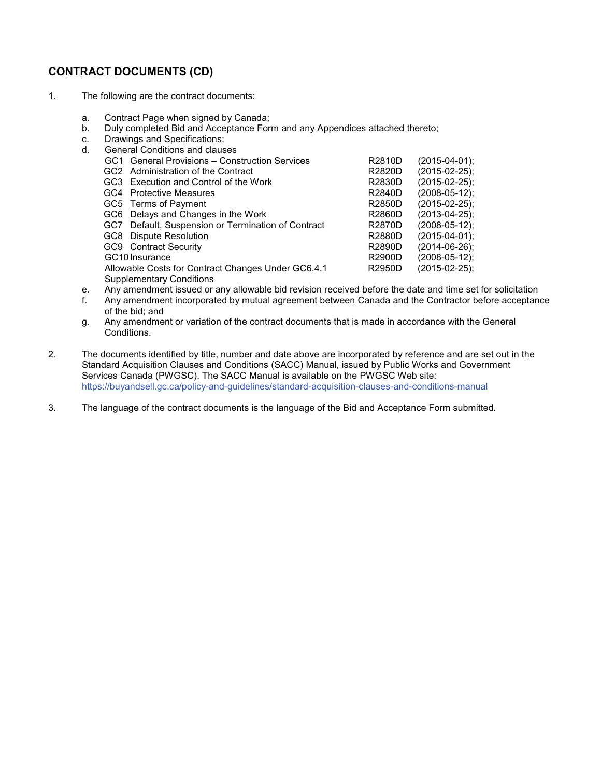# **CONTRACT DOCUMENTS (CD)**

- 1. The following are the contract documents:
	- a. Contract Page when signed by Canada;
	- b. Duly completed Bid and Acceptance Form and any Appendices attached thereto;
	- c. Drawings and Specifications;
	- d. General Conditions and clauses GC1 General Provisions – Construction Services R2810D (2015-04-01);<br>GC2 Administration of the Contract R2820D (2015-02-25); GC2 Administration of the Contract **R2820D** (2015-02-25);<br>GC3 Execution and Control of the Work R2830D (2015-02-25); GC3 Execution and Control of the Work <br>GC4 Protective Measures <br>R2840D (2008-05-12); GC4 Protective Measures **R2840D** GC5 Terms of Payment **R2850D** (2015-02-25); GC6 Delays and Changes in the Work R2860D (2013-04-25); GC7 Default, Suspension or Termination of Contract R2870D (2008-05-12); GC8 Dispute Resolution **COVID-001** 2015-04-01); GC9 Contract Security **Contract Security** COS 26 and R2890D (2014-06-26); GC10 Insurance R2900D (2008-05-12);<br>Allowable Costs for Contract Changes Under GC6.4.1 R2950D (2015-02-25); Allowable Costs for Contract Changes Under GC6.4.1 R2950D (2015-02-25); Supplementary Conditions
	- e. Any amendment issued or any allowable bid revision received before the date and time set for solicitation
	- f. Any amendment incorporated by mutual agreement between Canada and the Contractor before acceptance of the bid; and
	- g. Any amendment or variation of the contract documents that is made in accordance with the General Conditions.
- 2. The documents identified by title, number and date above are incorporated by reference and are set out in the Standard Acquisition Clauses and Conditions (SACC) Manual, issued by Public Works and Government Services Canada (PWGSC). The SACC Manual is available on the PWGSC Web site: https://buyandsell.gc.ca/policy-and-guidelines/standard-acquisition-clauses-and-conditions-manual
- 3. The language of the contract documents is the language of the Bid and Acceptance Form submitted.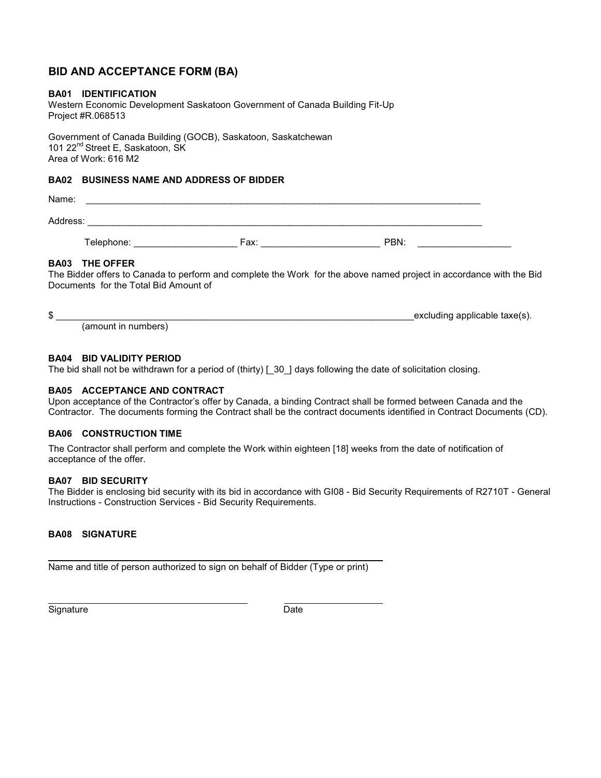## **BID AND ACCEPTANCE FORM (BA)**

## **BA01 IDENTIFICATION**

Western Economic Development Saskatoon Government of Canada Building Fit-Up Project #R.068513

Government of Canada Building (GOCB), Saskatoon, Saskatchewan 101 22<sup>nd</sup> Street E, Saskatoon, SK Area of Work: 616 M2

## **BA02 BUSINESS NAME AND ADDRESS OF BIDDER**

Name: \_\_\_\_\_\_\_\_\_\_\_\_\_\_\_\_\_\_\_\_\_\_\_\_\_\_\_\_\_\_\_\_\_\_\_\_\_\_\_\_\_\_\_\_\_\_\_\_\_\_\_\_\_\_\_\_\_\_\_\_\_\_\_\_\_\_\_\_\_\_\_\_\_\_\_\_ Address: \_\_\_\_\_\_\_\_\_\_\_\_\_\_\_\_\_\_\_\_\_\_\_\_\_\_\_\_\_\_\_\_\_\_\_\_\_\_\_\_\_\_\_\_\_\_\_\_\_\_\_\_\_\_\_\_\_\_\_\_\_\_\_\_\_\_\_\_\_\_\_\_\_\_\_\_

Telephone: The contract of the state of the Fax: The PBN:  $\overline{P}$ BN:

## **BA03 THE OFFER**

The Bidder offers to Canada to perform and complete the Work for the above named project in accordance with the Bid Documents for the Total Bid Amount of

|  | excluding applicable taxe(s). |
|--|-------------------------------|
|  |                               |

(amount in numbers)

### **BA04 BID VALIDITY PERIOD**

The bid shall not be withdrawn for a period of (thirty) [ 30 ] days following the date of solicitation closing.

## **BA05 ACCEPTANCE AND CONTRACT**

Upon acceptance of the Contractor's offer by Canada, a binding Contract shall be formed between Canada and the Contractor. The documents forming the Contract shall be the contract documents identified in Contract Documents (CD).

## **BA06 CONSTRUCTION TIME**

The Contractor shall perform and complete the Work within eighteen [18] weeks from the date of notification of acceptance of the offer.

#### **BA07 BID SECURITY**

The Bidder is enclosing bid security with its bid in accordance with GI08 - Bid Security Requirements of R2710T - General Instructions - Construction Services - Bid Security Requirements.

## **BA08 SIGNATURE**

Name and title of person authorized to sign on behalf of Bidder (Type or print)

 $\overline{a}$ Signature Date Date

 $\overline{a}$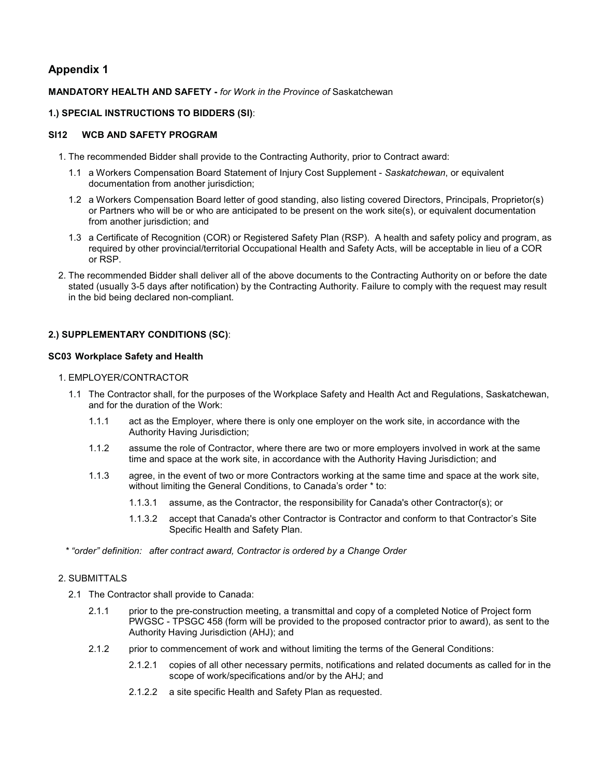## **Appendix 1**

## **MANDATORY HEALTH AND SAFETY -** *for Work in the Province of* Saskatchewan

## **1.) SPECIAL INSTRUCTIONS TO BIDDERS (SI)**:

## **SI12 WCB AND SAFETY PROGRAM**

- 1. The recommended Bidder shall provide to the Contracting Authority, prior to Contract award:
	- 1.1 a Workers Compensation Board Statement of Injury Cost Supplement *Saskatchewan*, or equivalent documentation from another jurisdiction;
	- 1.2 a Workers Compensation Board letter of good standing, also listing covered Directors, Principals, Proprietor(s) or Partners who will be or who are anticipated to be present on the work site(s), or equivalent documentation from another jurisdiction; and
	- 1.3 a Certificate of Recognition (COR) or Registered Safety Plan (RSP). A health and safety policy and program, as required by other provincial/territorial Occupational Health and Safety Acts, will be acceptable in lieu of a COR or RSP.
- 2. The recommended Bidder shall deliver all of the above documents to the Contracting Authority on or before the date stated (usually 3-5 days after notification) by the Contracting Authority. Failure to comply with the request may result in the bid being declared non-compliant.

## **2.) SUPPLEMENTARY CONDITIONS (SC)**:

### **SC03 Workplace Safety and Health**

### 1. EMPLOYER/CONTRACTOR

- 1.1 The Contractor shall, for the purposes of the Workplace Safety and Health Act and Regulations, Saskatchewan, and for the duration of the Work:
	- 1.1.1 act as the Employer, where there is only one employer on the work site, in accordance with the Authority Having Jurisdiction;
	- 1.1.2 assume the role of Contractor, where there are two or more employers involved in work at the same time and space at the work site, in accordance with the Authority Having Jurisdiction; and
	- 1.1.3 agree, in the event of two or more Contractors working at the same time and space at the work site, without limiting the General Conditions, to Canada's order \* to:
		- 1.1.3.1 assume, as the Contractor, the responsibility for Canada's other Contractor(s); or
		- 1.1.3.2 accept that Canada's other Contractor is Contractor and conform to that Contractor's Site Specific Health and Safety Plan.

*\* "order" definition: after contract award, Contractor is ordered by a Change Order*

## 2. SUBMITTALS

- 2.1 The Contractor shall provide to Canada:
	- 2.1.1 prior to the pre-construction meeting, a transmittal and copy of a completed Notice of Project form PWGSC - TPSGC 458 (form will be provided to the proposed contractor prior to award), as sent to the Authority Having Jurisdiction (AHJ); and
	- 2.1.2 prior to commencement of work and without limiting the terms of the General Conditions:
		- 2.1.2.1 copies of all other necessary permits, notifications and related documents as called for in the scope of work/specifications and/or by the AHJ; and
		- 2.1.2.2 a site specific Health and Safety Plan as requested.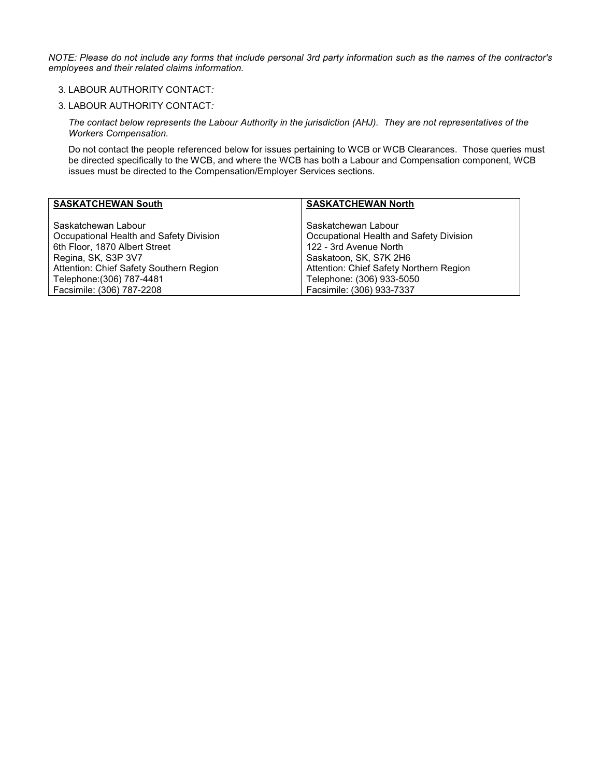*NOTE: Please do not include any forms that include personal 3rd party information such as the names of the contractor's employees and their related claims information.*

## 3. LABOUR AUTHORITY CONTACT*:*

#### 3. LABOUR AUTHORITY CONTACT*:*

*The contact below represents the Labour Authority in the jurisdiction (AHJ). They are not representatives of the Workers Compensation.* 

Do not contact the people referenced below for issues pertaining to WCB or WCB Clearances. Those queries must be directed specifically to the WCB, and where the WCB has both a Labour and Compensation component, WCB issues must be directed to the Compensation/Employer Services sections.

| <b>SASKATCHEWAN South</b>               | <b>SASKATCHEWAN North</b>               |
|-----------------------------------------|-----------------------------------------|
| Saskatchewan Labour                     | Saskatchewan Labour                     |
| Occupational Health and Safety Division | Occupational Health and Safety Division |
| 6th Floor, 1870 Albert Street           | 122 - 3rd Avenue North                  |
| Regina, SK, S3P 3V7                     | Saskatoon, SK, S7K 2H6                  |
| Attention: Chief Safety Southern Region | Attention: Chief Safety Northern Region |
| Telephone: (306) 787-4481               | Telephone: (306) 933-5050               |
| Facsimile: (306) 787-2208               | Facsimile: (306) 933-7337               |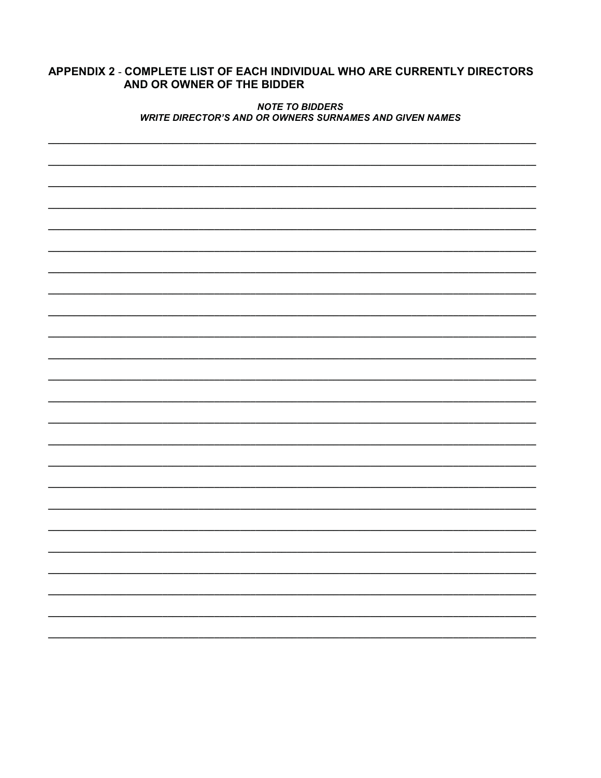## APPENDIX 2 - COMPLETE LIST OF EACH INDIVIDUAL WHO ARE CURRENTLY DIRECTORS AND OR OWNER OF THE BIDDER

## **NOTE TO BIDDERS WRITE DIRECTOR'S AND OR OWNERS SURNAMES AND GIVEN NAMES**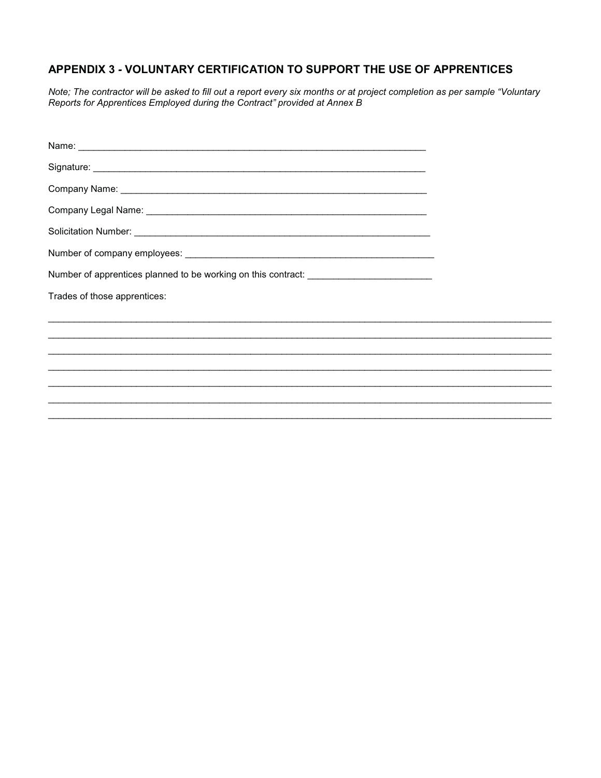# APPENDIX 3 - VOLUNTARY CERTIFICATION TO SUPPORT THE USE OF APPRENTICES

Note; The contractor will be asked to fill out a report every six months or at project completion as per sample "Voluntary Reports for Apprentices Employed during the Contract" provided at Annex B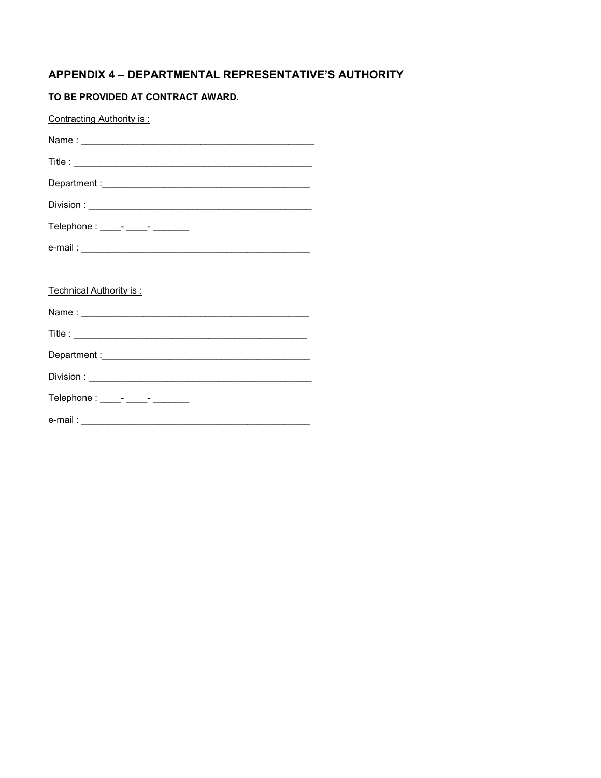# APPENDIX 4 - DEPARTMENTAL REPRESENTATIVE'S AUTHORITY

## TO BE PROVIDED AT CONTRACT AWARD.

| Contracting Authority is:         |
|-----------------------------------|
|                                   |
|                                   |
|                                   |
|                                   |
| Telephone : ____- ____- _______   |
|                                   |
|                                   |
| Technical Authority is:           |
|                                   |
|                                   |
|                                   |
|                                   |
| Telephone : _____- _____- _______ |
|                                   |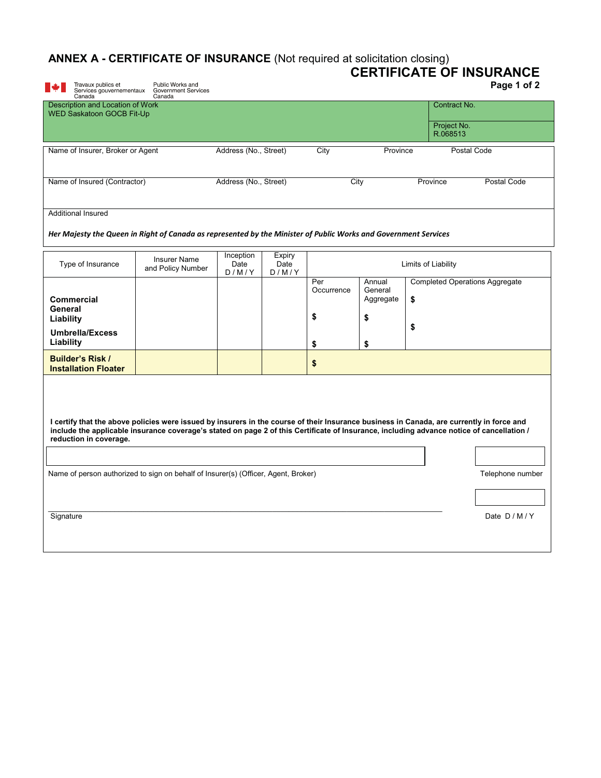# **ANNEX A - CERTIFICATE OF INSURANCE** (Not required at solicitation closing)

| Travaux publics et                                                                                                                                                                                                                                                                                               | <b>CLIVIII IOATE OF INOURANCE</b> (NOTICQUIICU de SOIIGRADIT GIOSING)<br>Public Works and |                            |                         |                   |                                |                                             | <b>CERTIFICATE OF INSURANCE</b><br>Page 1 of 2 |
|------------------------------------------------------------------------------------------------------------------------------------------------------------------------------------------------------------------------------------------------------------------------------------------------------------------|-------------------------------------------------------------------------------------------|----------------------------|-------------------------|-------------------|--------------------------------|---------------------------------------------|------------------------------------------------|
| Services gouvernementaux<br>Canada                                                                                                                                                                                                                                                                               | <b>Government Services</b><br>Canada                                                      |                            |                         |                   |                                |                                             |                                                |
| Description and Location of Work<br><b>WED Saskatoon GOCB Fit-Up</b>                                                                                                                                                                                                                                             |                                                                                           |                            |                         |                   |                                | Contract No.                                |                                                |
|                                                                                                                                                                                                                                                                                                                  |                                                                                           |                            |                         |                   |                                | Project No.<br>R.068513                     |                                                |
| Name of Insurer, Broker or Agent                                                                                                                                                                                                                                                                                 |                                                                                           | Address (No., Street)      |                         | City              | Province                       | Postal Code                                 |                                                |
| Name of Insured (Contractor)                                                                                                                                                                                                                                                                                     |                                                                                           | Address (No., Street)      |                         | City              |                                | Province                                    | Postal Code                                    |
| <b>Additional Insured</b>                                                                                                                                                                                                                                                                                        |                                                                                           |                            |                         |                   |                                |                                             |                                                |
| Her Majesty the Queen in Right of Canada as represented by the Minister of Public Works and Government Services                                                                                                                                                                                                  |                                                                                           |                            |                         |                   |                                |                                             |                                                |
| Type of Insurance                                                                                                                                                                                                                                                                                                | <b>Insurer Name</b><br>and Policy Number                                                  | Inception<br>Date<br>D/M/Y | Expiry<br>Date<br>D/M/Y |                   |                                | Limits of Liability                         |                                                |
| Commercial                                                                                                                                                                                                                                                                                                       |                                                                                           |                            |                         | Per<br>Occurrence | Annual<br>General<br>Aggregate | \$<br><b>Completed Operations Aggregate</b> |                                                |
| General<br>Liability                                                                                                                                                                                                                                                                                             |                                                                                           |                            |                         | \$                | \$                             |                                             |                                                |
| <b>Umbrella/Excess</b><br>Liability                                                                                                                                                                                                                                                                              |                                                                                           |                            |                         | \$                | \$                             | \$                                          |                                                |
| <b>Builder's Risk /</b><br><b>Installation Floater</b>                                                                                                                                                                                                                                                           |                                                                                           |                            |                         | \$                |                                |                                             |                                                |
|                                                                                                                                                                                                                                                                                                                  |                                                                                           |                            |                         |                   |                                |                                             |                                                |
|                                                                                                                                                                                                                                                                                                                  |                                                                                           |                            |                         |                   |                                |                                             |                                                |
| I certify that the above policies were issued by insurers in the course of their Insurance business in Canada, are currently in force and<br>include the applicable insurance coverage's stated on page 2 of this Certificate of Insurance, including advance notice of cancellation /<br>reduction in coverage. |                                                                                           |                            |                         |                   |                                |                                             |                                                |
|                                                                                                                                                                                                                                                                                                                  |                                                                                           |                            |                         |                   |                                |                                             |                                                |
| Name of person authorized to sign on behalf of Insurer(s) (Officer, Agent, Broker)<br>Telephone number                                                                                                                                                                                                           |                                                                                           |                            |                         |                   |                                |                                             |                                                |
|                                                                                                                                                                                                                                                                                                                  |                                                                                           |                            |                         |                   |                                |                                             |                                                |
| Signature                                                                                                                                                                                                                                                                                                        |                                                                                           |                            |                         |                   |                                |                                             | Date D/M/Y                                     |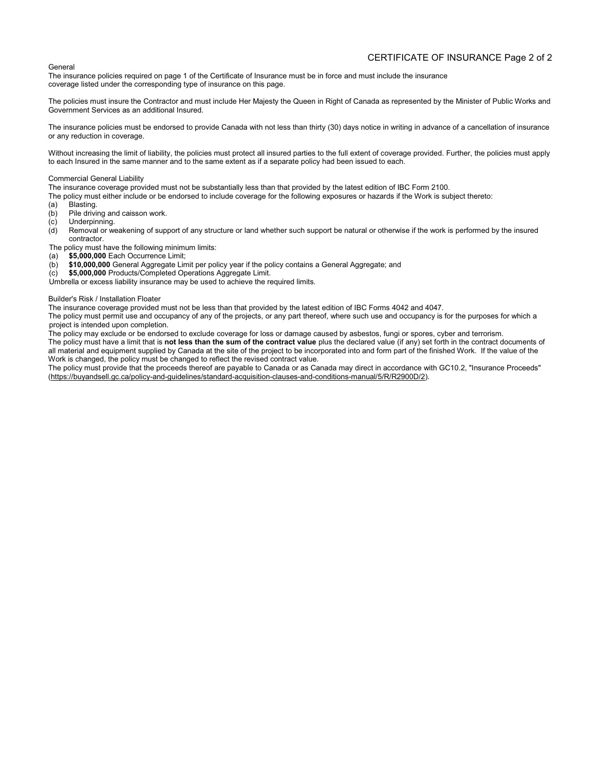#### CERTIFICATE OF INSURANCE Page 2 of 2

#### General

The insurance policies required on page 1 of the Certificate of Insurance must be in force and must include the insurance coverage listed under the corresponding type of insurance on this page.

The policies must insure the Contractor and must include Her Majesty the Queen in Right of Canada as represented by the Minister of Public Works and Government Services as an additional Insured.

The insurance policies must be endorsed to provide Canada with not less than thirty (30) days notice in writing in advance of a cancellation of insurance or any reduction in coverage.

Without increasing the limit of liability, the policies must protect all insured parties to the full extent of coverage provided. Further, the policies must apply to each Insured in the same manner and to the same extent as if a separate policy had been issued to each.

#### Commercial General Liability

The insurance coverage provided must not be substantially less than that provided by the latest edition of IBC Form 2100.

- The policy must either include or be endorsed to include coverage for the following exposures or hazards if the Work is subject thereto:<br>(a) Blasting.
- Blasting.
- (b) Pile driving and caisson work.
- (c) Underpinning.<br>(d) Removal or w
- Removal or weakening of support of any structure or land whether such support be natural or otherwise if the work is performed by the insured contractor.

The policy must have the following minimum limits:

- (a) **\$5,000,000** Each Occurrence Limit;
- (b) **\$10,000,000** General Aggregate Limit per policy year if the policy contains a General Aggregate; and
- (c) **\$5,000,000** Products/Completed Operations Aggregate Limit.

Umbrella or excess liability insurance may be used to achieve the required limits.

#### Builder's Risk / Installation Floater

The insurance coverage provided must not be less than that provided by the latest edition of IBC Forms 4042 and 4047.

The policy must permit use and occupancy of any of the projects, or any part thereof, where such use and occupancy is for the purposes for which a project is intended upon completion.

The policy may exclude or be endorsed to exclude coverage for loss or damage caused by asbestos, fungi or spores, cyber and terrorism.

The policy must have a limit that is **not less than the sum of the contract value** plus the declared value (if any) set forth in the contract documents of all material and equipment supplied by Canada at the site of the project to be incorporated into and form part of the finished Work. If the value of the Work is changed, the policy must be changed to reflect the revised contract value.

The policy must provide that the proceeds thereof are payable to Canada or as Canada may direct in accordance with GC10.2, "Insurance Proceeds" (https://buyandsell.gc.ca/policy-and-guidelines/standard-acquisition-clauses-and-conditions-manual/5/R/R2900D/2).